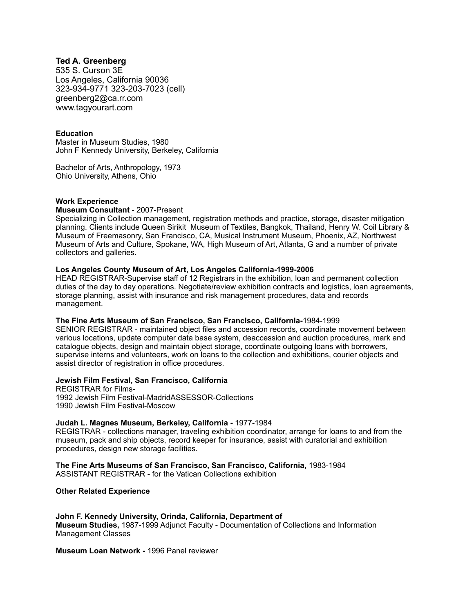# **Ted A. Greenberg**

535 S. Curson 3E Los Angeles, California 90036 323-934-9771 323-203-7023 (cell) greenberg2@ca.rr.com www.tagyourart.com

### **Education**

Master in Museum Studies, 1980 John F Kennedy University, Berkeley, California

Bachelor of Arts, Anthropology, 1973 Ohio University, Athens, Ohio

### **Work Experience**

#### **Museum Consultant** - 2007-Present

Specializing in Collection management, registration methods and practice, storage, disaster mitigation planning. Clients include Queen Sirikit Museum of Textiles, Bangkok, Thailand, Henry W. Coil Library & Museum of Freemasonry, San Francisco, CA, Musical Instrument Museum, Phoenix, AZ, Northwest Museum of Arts and Culture, Spokane, WA, High Museum of Art, Atlanta, G and a number of private collectors and galleries.

### **Los Angeles County Museum of Art, Los Angeles California-1999-2006**

HEAD REGISTRAR-Supervise staff of 12 Registrars in the exhibition, loan and permanent collection duties of the day to day operations. Negotiate/review exhibition contracts and logistics, loan agreements, storage planning, assist with insurance and risk management procedures, data and records management.

### **The Fine Arts Museum of San Francisco, San Francisco, California-**1984-1999

SENIOR REGISTRAR - maintained object files and accession records, coordinate movement between various locations, update computer data base system, deaccession and auction procedures, mark and catalogue objects, design and maintain object storage, coordinate outgoing loans with borrowers, supervise interns and volunteers, work on loans to the collection and exhibitions, courier objects and assist director of registration in office procedures.

### **Jewish Film Festival, San Francisco, California**

REGISTRAR for Films-1992 Jewish Film Festival-MadridASSESSOR-Collections 1990 Jewish Film Festival-Moscow

### **Judah L. Magnes Museum, Berkeley, California -** 1977-1984

REGISTRAR - collections manager, traveling exhibition coordinator, arrange for loans to and from the museum, pack and ship objects, record keeper for insurance, assist with curatorial and exhibition procedures, design new storage facilities.

**The Fine Arts Museums of San Francisco, San Francisco, California,** 1983-1984 ASSISTANT REGISTRAR - for the Vatican Collections exhibition

## **Other Related Experience**

**John F. Kennedy University, Orinda, California, Department of Museum Studies,** 1987-1999 Adjunct Faculty - Documentation of Collections and Information Management Classes

**Museum Loan Network -** 1996 Panel reviewer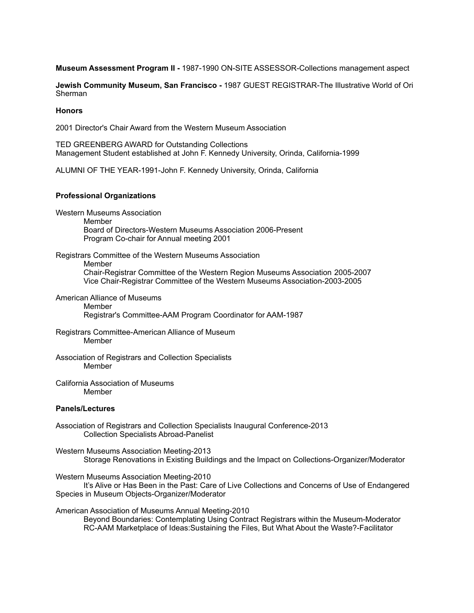**Museum Assessment Program II -** 1987-1990 ON-SITE ASSESSOR-Collections management aspect

**Jewish Community Museum, San Francisco -** 1987 GUEST REGISTRAR-The Illustrative World of Ori **Sherman** 

### **Honors**

2001 Director's Chair Award from the Western Museum Association

TED GREENBERG AWARD for Outstanding Collections Management Student established at John F. Kennedy University, Orinda, California-1999

ALUMNI OF THE YEAR-1991-John F. Kennedy University, Orinda, California

### **Professional Organizations**

Western Museums Association

Member

 Board of Directors-Western Museums Association 2006-Present Program Co-chair for Annual meeting 2001

Registrars Committee of the Western Museums Association

Member

 Chair-Registrar Committee of the Western Region Museums Association 2005-2007 Vice Chair-Registrar Committee of the Western Museums Association-2003-2005

American Alliance of Museums

 Member Registrar's Committee-AAM Program Coordinator for AAM-1987

Registrars Committee-American Alliance of Museum Member

Association of Registrars and Collection Specialists Member

California Association of Museums Member

### **Panels/Lectures**

Association of Registrars and Collection Specialists Inaugural Conference-2013 Collection Specialists Abroad-Panelist

Western Museums Association Meeting-2013 Storage Renovations in Existing Buildings and the Impact on Collections-Organizer/Moderator

Western Museums Association Meeting-2010

 It's Alive or Has Been in the Past: Care of Live Collections and Concerns of Use of Endangered Species in Museum Objects-Organizer/Moderator

American Association of Museums Annual Meeting-2010

 Beyond Boundaries: Contemplating Using Contract Registrars within the Museum-Moderator RC-AAM Marketplace of Ideas:Sustaining the Files, But What About the Waste?-Facilitator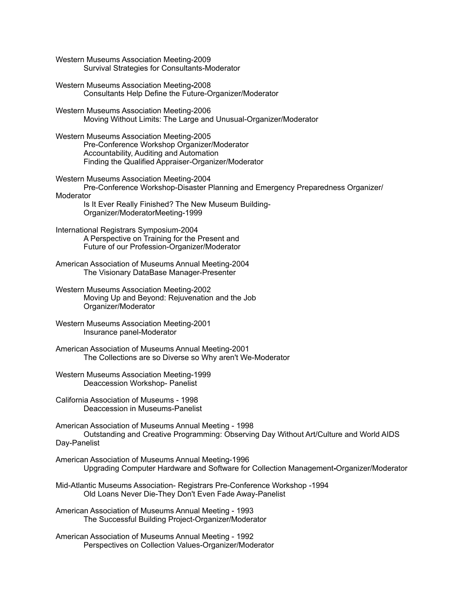Western Museums Association Meeting-2009 Survival Strategies for Consultants-Moderator

Western Museums Association Meeting**-**2008 Consultants Help Define the Future-Organizer/Moderator

Western Museums Association Meeting-2006 Moving Without Limits: The Large and Unusual-Organizer/Moderator

Western Museums Association Meeting-2005 Pre-Conference Workshop Organizer/Moderator Accountability, Auditing and Automation Finding the Qualified Appraiser-Organizer/Moderator

Western Museums Association Meeting-2004 Pre-Conference Workshop-Disaster Planning and Emergency Preparedness Organizer/ **Moderator** 

 Is It Ever Really Finished? The New Museum Building- Organizer/ModeratorMeeting-1999

International Registrars Symposium-2004 A Perspective on Training for the Present and Future of our Profession-Organizer/Moderator

American Association of Museums Annual Meeting-2004 The Visionary DataBase Manager-Presenter

Western Museums Association Meeting-2002 Moving Up and Beyond: Rejuvenation and the Job Organizer/Moderator

Western Museums Association Meeting-2001 Insurance panel-Moderator

American Association of Museums Annual Meeting-2001 The Collections are so Diverse so Why aren't We-Moderator

Western Museums Association Meeting-1999 Deaccession Workshop- Panelist

California Association of Museums - 1998 Deaccession in Museums-Panelist

American Association of Museums Annual Meeting - 1998 Outstanding and Creative Programming: Observing Day Without Art/Culture and World AIDS Day-Panelist

American Association of Museums Annual Meeting-1996 Upgrading Computer Hardware and Software for Collection Management**-**Organizer/Moderator

Mid-Atlantic Museums Association- Registrars Pre-Conference Workshop -1994 Old Loans Never Die-They Don't Even Fade Away-Panelist

American Association of Museums Annual Meeting - 1993 The Successful Building Project-Organizer/Moderator

American Association of Museums Annual Meeting - 1992 Perspectives on Collection Values-Organizer/Moderator